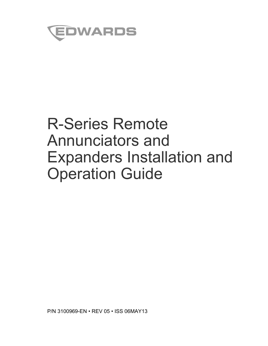

# R-Series Remote Annunciators and Expanders Installation and Operation Guide

P/N 3100969-EN • REV 05 • ISS 06MAY13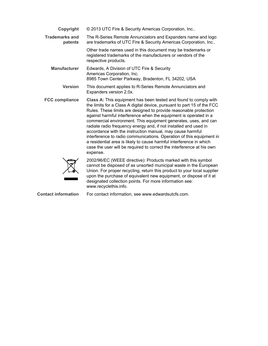| Copyright                        | © 2013 UTC Fire & Security Americas Corporation, Inc                                                                                                                                                                                                                                                                                                                                                                                                                                                                                                                                                                                                                                                                         |
|----------------------------------|------------------------------------------------------------------------------------------------------------------------------------------------------------------------------------------------------------------------------------------------------------------------------------------------------------------------------------------------------------------------------------------------------------------------------------------------------------------------------------------------------------------------------------------------------------------------------------------------------------------------------------------------------------------------------------------------------------------------------|
| <b>Trademarks and</b><br>patents | The R-Series Remote Annunciators and Expanders name and logo<br>are trademarks of UTC Fire & Security Americas Corporation, Inc                                                                                                                                                                                                                                                                                                                                                                                                                                                                                                                                                                                              |
|                                  | Other trade names used in this document may be trademarks or<br>registered trademarks of the manufacturers or vendors of the<br>respective products.                                                                                                                                                                                                                                                                                                                                                                                                                                                                                                                                                                         |
| <b>Manufacturer</b>              | Edwards, A Division of UTC Fire & Security<br>Americas Corporation, Inc.<br>8985 Town Center Parkway, Bradenton, FL 34202, USA                                                                                                                                                                                                                                                                                                                                                                                                                                                                                                                                                                                               |
| <b>Version</b>                   | This document applies to R-Series Remote Annunciators and<br>Expanders version 2.0x.                                                                                                                                                                                                                                                                                                                                                                                                                                                                                                                                                                                                                                         |
| <b>FCC compliance</b>            | Class A: This equipment has been tested and found to comply with<br>the limits for a Class A digital device, pursuant to part 15 of the FCC<br>Rules. These limits are designed to provide reasonable protection<br>against harmful interference when the equipment is operated in a<br>commercial environment. This equipment generates, uses, and can<br>radiate radio frequency energy and, if not installed and used in<br>accordance with the instruction manual, may cause harmful<br>interference to radio communications. Operation of this equipment in<br>a residential area is likely to cause harmful interference in which<br>case the user will be required to correct the interference at his own<br>expense. |
|                                  | 2002/96/EC (WEEE directive): Products marked with this symbol<br>cannot be disposed of as unsorted municipal waste in the European<br>Union For proper recycling return this product to your local supplier                                                                                                                                                                                                                                                                                                                                                                                                                                                                                                                  |

 $\sqrt{\bullet}$ 

Union. For proper recycling, return this product to your local supplier upon the purchase of equivalent new equipment, or dispose of it at designated collection points. For more information see: www.recyclethis.info.

**Contact information** For contact information, see www.edwardsutcfs.com.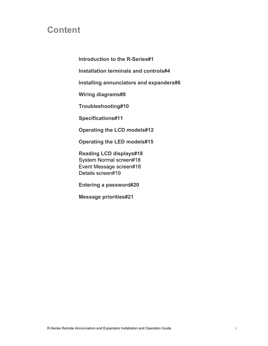### **Content**

**Introduction to the R-Series#1**

**Installation terminals and controls#4**

**Installing annunciators and expanders#6**

**Wiring diagrams#8**

**Troubleshooting#10**

**Specifications#11**

**Operating the LCD models#12**

**Operating the LED models#15**

**Reading LCD displays#18** System Normal screen#18 Event Message screen#18 Details screen#19

**Entering a password#20**

**Message priorities#21**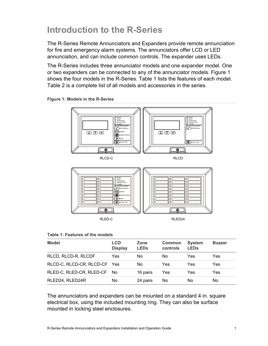### **Introduction to the R-Series**

The R-Series Remote Annunciators and Expanders provide remote annunciation for fire and emergency alarm systems. The annunciators offer LCD or LED annunciation, and can include common controls. The expander uses LEDs.

The R-Series includes three annunciator models and one expander model. One or two expanders can be connected to any of the annunciator models. Figure 1 shows the four models in the R-Series. Table 1 lists the features of each model. Table 2 is a complete list of all models and accessories in the series.



**Figure 1: Models in the R-Series** 

#### **Table 1: Features of the models**

| <b>Model</b>                 | LCD<br><b>Display</b> | Zone<br><b>LEDs</b> | <b>Common</b><br>controls | <b>System</b><br><b>LEDs</b> | <b>Buzzer</b> |
|------------------------------|-----------------------|---------------------|---------------------------|------------------------------|---------------|
| RLCD, RLCD-R, RLCDF          | Yes                   | No                  | No                        | Yes                          | Yes           |
| RLCD-C, RLCD-CR, RLCD-CF Yes |                       | No                  | Yes                       | Yes                          | Yes           |
| RLED-C, RLED-CR, RLED-CF     | - No                  | 16 pairs            | Yes                       | Yes                          | Yes           |
| RLED24, RLED24R              | No                    | 24 pairs            | No                        | No                           | No            |

The annunciators and expanders can be mounted on a standard 4 in. square electrical box, using the included mounting ring. They can also be surface mounted in locking steel enclosures.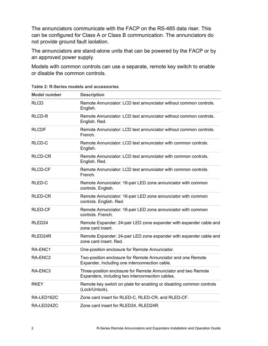The annunciators communicate with the FACP on the RS-485 data riser. This can be configured for Class A or Class B communication. The annunciators do not provide ground fault isolation.

The annunciators are stand-alone units that can be powered by the FACP or by an approved power supply.

Models with common controls can use a separate, remote key switch to enable or disable the common controls.

| <b>Model number</b> | <b>Description</b>                                                                                                 |
|---------------------|--------------------------------------------------------------------------------------------------------------------|
| <b>RLCD</b>         | Remote Annunciator: LCD text annunciator without common controls.<br>English.                                      |
| RLCD-R              | Remote Annunciator: LCD text annunciator without common controls.<br>English. Red.                                 |
| <b>RLCDF</b>        | Remote Annunciator: LCD text annunciator without common controls.<br>French.                                       |
| RLCD-C              | Remote Annunciator: LCD text annunciator with common controls.<br>English.                                         |
| <b>RLCD-CR</b>      | Remote Annunciator: LCD text annunciator with common controls.<br>English. Red.                                    |
| <b>RLCD-CF</b>      | Remote Annunciator: LCD text annunciator with common controls.<br>French.                                          |
| RLED-C              | Remote Annunciator: 16-pair LED zone annunciator with common<br>controls. English.                                 |
| RLED-CR             | Remote Annunciator: 16-pair LED zone annunciator with common<br>controls. English. Red.                            |
| <b>RLED-CF</b>      | Remote Annunciator: 16-pair LED zone annunciator with common<br>controls. French.                                  |
| RLED <sub>24</sub>  | Remote Expander: 24-pair LED zone expander with expander cable and<br>zone card insert.                            |
| RLED24R             | Remote Expander: 24-pair LED zone expander with expander cable and<br>zone card insert. Red.                       |
| RA-ENC1             | One-position enclosure for Remote Annunciator.                                                                     |
| RA-ENC2             | Two-position enclosure for Remote Annunciator and one Remote<br>Expander, including one interconnection cable.     |
| RA-ENC <sub>3</sub> | Three-position enclosure for Remote Annunciator and two Remote<br>Expanders, including two interconnection cables. |
| <b>RKEY</b>         | Remote key switch on plate for enabling or disabling common controls<br>(Lock/Unlock).                             |
| RA-LED16ZC          | Zone card insert for RLED-C, RLED-CR, and RLED-CF.                                                                 |
| RA-LED24ZC          | Zone card insert for RLED24, RLED24R.                                                                              |

**Table 2: R-Series models and accessories**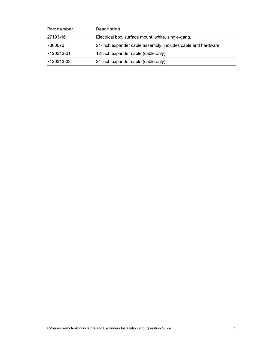| <b>Part number</b> | <b>Description</b>                                            |
|--------------------|---------------------------------------------------------------|
| 27193-16           | Electrical box, surface mount, white, single-gang.            |
| 7300073            | 24-inch expander cable assembly, includes cable and hardware. |
| 7120313-01         | 12-inch expander cable (cable only).                          |
| 7120313-02         | 24-inch expander cable (cable only).                          |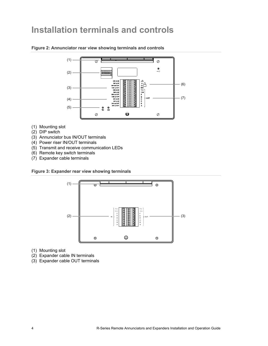### **Installation terminals and controls**



#### **Figure 2: Annunciator rear view showing terminals and controls**

- (1) Mounting slot
- (2) DIP switch
- (3) Annunciator bus IN/OUT terminals
- (4) Power riser IN/OUT terminals
- (5) Transmit and receive communication LEDs
- (6) Remote key switch terminals
- (7) Expander cable terminals

**Figure 3: Expander rear view showing terminals** 



- (1) Mounting slot
- (2) Expander cable IN terminals
- (3) Expander cable OUT terminals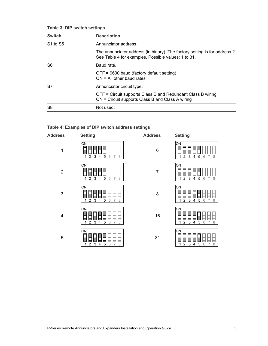| <b>Switch</b>                    | <b>Description</b>                                                                                                                |
|----------------------------------|-----------------------------------------------------------------------------------------------------------------------------------|
| S <sub>1</sub> to S <sub>5</sub> | Annunciator address.                                                                                                              |
|                                  | The annunciator address (in binary). The factory setting is for address 2.<br>See Table 4 for examples. Possible values: 1 to 31. |
| S <sub>6</sub>                   | Baud rate.                                                                                                                        |
|                                  | OFF = 9600 baud (factory default setting)<br>$ON = All other$ baud rates                                                          |
| S7                               | Annunciator circuit type.                                                                                                         |
|                                  | OFF = Circuit supports Class B and Redundant Class B wiring<br>ON = Circuit supports Class B and Class A wiring                   |
| S <sub>8</sub>                   | Not used.                                                                                                                         |

| <b>Address</b> | <b>Setting</b>                                                                                              | <b>Address</b> | <b>Setting</b>                                                                                      |
|----------------|-------------------------------------------------------------------------------------------------------------|----------------|-----------------------------------------------------------------------------------------------------|
| $\mathbf 1$    | ON<br>$\overline{2}$<br>$\mathbf{3}$<br>$\mathbf 5$<br>$\mathsf 6$<br>8<br>$\overline{4}$<br>$\overline{7}$ | $\,6$          | $\overline{ON}$<br>$\overline{2}$<br>$\mathsf 3$<br>5<br>6<br>8<br>$\overline{4}$<br>$\overline{7}$ |
| $\overline{2}$ | ON<br>$\mathsf 3$<br>$\mathbf 5$<br>$\,6\,$<br>$\overline{2}$<br>8<br>$\overline{7}$<br>4<br>1              | $\overline{7}$ | ON <br>$\overline{2}$<br>$\mathsf 3$<br>5<br>6<br>8<br>4<br>$\overline{7}$                          |
| $\mathbf{3}$   | ŌМ<br>$\,6\,$<br>$\overline{a}$<br>$\mathbf{3}$<br>5<br>$\overline{7}$<br>8<br>$\overline{4}$<br>1          | 8              | $\overline{\text{ON}}$<br>$\overline{2}$<br>3<br>5<br>6<br>8<br>$\overline{4}$<br>$\overline{7}$    |
| $\overline{4}$ | ON<br>$\overline{2}$<br>3<br>$\mathbf 5$<br>$\,6\,$<br>$\overline{7}$<br>8<br>$\overline{4}$<br>4           | 16             | ON <br>2<br>3<br>5<br>6<br>$\overline{4}$<br>8<br>$\overline{7}$                                    |
| $\mathbf 5$    | ON<br>$\overline{c}$<br>$\mathbf{3}$<br>$\mathbf 5$<br>$\,6\,$<br>$\,8\,$<br>$\overline{7}$<br>4<br>1       | 31             | ON <br>$\overline{a}$<br>$\mathsf 3$<br>8<br>5<br>6<br>$\overline{7}$<br>4                          |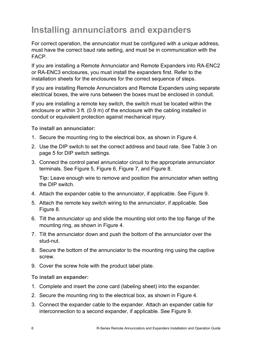# **Installing annunciators and expanders**

For correct operation, the annunciator must be configured with a unique address, must have the correct baud rate setting, and must be in communication with the FACP.

If you are installing a Remote Annunciator and Remote Expanders into RA-ENC2 or RA-ENC3 enclosures, you must install the expanders first. Refer to the installation sheets for the enclosures for the correct sequence of steps.

If you are installing Remote Annunciators and Remote Expanders using separate electrical boxes, the wire runs between the boxes must be enclosed in conduit.

If you are installing a remote key switch, the switch must be located within the enclosure or within 3 ft. (0.9 m) of the enclosure with the cabling installed in conduit or equivalent protection against mechanical injury.

#### **To install an annunciator:**

- 1. Secure the mounting ring to the electrical box, as shown in Figure 4.
- 2. Use the DIP switch to set the correct address and baud rate. See Table 3 on page 5 for DIP switch settings.
- 3. Connect the control panel annunciator circuit to the appropriate annunciator terminals. See Figure 5, Figure 6, Figure 7, and Figure 8.

 **Tip:** Leave enough wire to remove and position the annunciator when setting the DIP switch.

- 4. Attach the expander cable to the annunciator, if applicable. See Figure 9.
- 5. Attach the remote key switch wiring to the annunciator, if applicable. See Figure 8.
- 6. Tilt the annunciator up and slide the mounting slot onto the top flange of the mounting ring, as shown in Figure 4.
- 7. Tilt the annunciator down and push the bottom of the annunciator over the stud-nut.
- 8. Secure the bottom of the annunciator to the mounting ring using the captive screw.
- 9. Cover the screw hole with the product label plate.

#### **To install an expander:**

- 1. Complete and insert the zone card (labeling sheet) into the expander.
- 2. Secure the mounting ring to the electrical box, as shown in Figure 4.
- 3. Connect the expander cable to the expander. Attach an expander cable for interconnection to a second expander, if applicable. See Figure 9.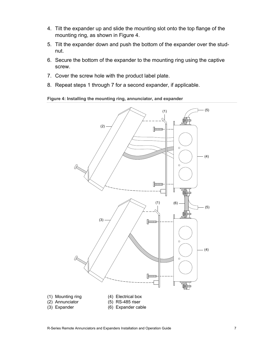- 4. Tilt the expander up and slide the mounting slot onto the top flange of the mounting ring, as shown in Figure 4.
- 5. Tilt the expander down and push the bottom of the expander over the studnut.
- 6. Secure the bottom of the expander to the mounting ring using the captive screw.
- 7. Cover the screw hole with the product label plate.
- 8. Repeat steps 1 through 7 for a second expander, if applicable.

**Figure 4: Installing the mounting ring, annunciator, and expander** 

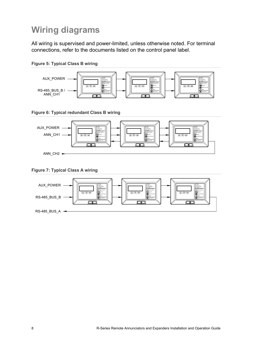# **Wiring diagrams**

All wiring is supervised and power-limited, unless otherwise noted. For terminal connections, refer to the documents listed on the control panel label.





**Figure 6: Typical redundant Class B wiring** 



**Figure 7: Typical Class A wiring** 

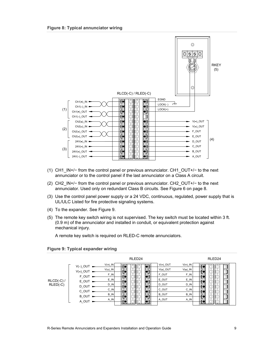

- (1) CH1\_IN+/− from the control panel or previous annunciator. CH1\_OUT+/− to the next annunciator or to the control panel if the last annunciator on a Class A circuit.
- (2) CH2\_IN+/− from the control panel or previous annunciator. CH2\_OUT+/− to the next annunciator. Used only on redundant Class B circuits. See Figure 6 on page 8.
- (3) Use the control panel power supply or a 24 VDC, continuous, regulated, power supply that is UL/ULC Listed for fire protective signaling systems.
- (4) To the expander. See Figure 9.
- (5) The remote key switch wiring is not supervised. The key switch must be located within 3 ft. (0.9 m) of the annunciator and installed in conduit, or equivalent protection against mechanical injury.

A remote key switch is required on RLED-C remote annunciators.



**Figure 9: Typical expander wiring**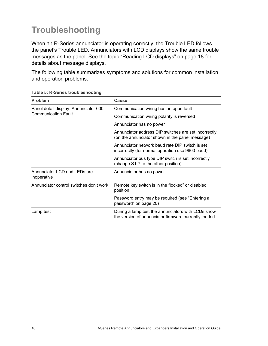# **Troubleshooting**

When an R-Series annunciator is operating correctly, the Trouble LED follows the panel's Trouble LED. Annunciators with LCD displays show the same trouble messages as the panel. See the topic "Reading LCD displays" on page 18 for details about message displays.

The following table summarizes symptoms and solutions for common installation and operation problems.

| <b>Problem</b>                              | <b>Cause</b>                                                                                               |  |
|---------------------------------------------|------------------------------------------------------------------------------------------------------------|--|
| Panel detail display: Annunciator 000       | Communication wiring has an open fault                                                                     |  |
| <b>Communication Fault</b>                  | Communication wiring polarity is reversed                                                                  |  |
|                                             | Annunciator has no power                                                                                   |  |
|                                             | Annunciator address DIP switches are set incorrectly<br>(on the annunciator shown in the panel message)    |  |
|                                             | Annunciator network baud rate DIP switch is set<br>incorrectly (for normal operation use 9600 baud)        |  |
|                                             | Annunciator bus type DIP switch is set incorrectly<br>(change S1-7 to the other position)                  |  |
| Annunciator LCD and LEDs are<br>inoperative | Annunciator has no power                                                                                   |  |
| Annunciator control switches don't work     | Remote key switch is in the "locked" or disabled<br>position                                               |  |
|                                             | Password entry may be required (see "Entering a<br>password" on page 20)                                   |  |
| Lamp test                                   | During a lamp test the annunciators with LCDs show<br>the version of annunciator firmware currently loaded |  |

**Table 5: R-Series troubleshooting**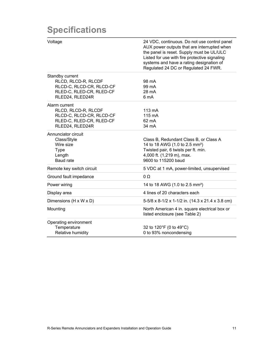### **Specifications**

| Voltage                                                                                                           | 24 VDC, continuous. Do not use control panel<br>AUX power outputs that are interrupted when<br>the panel is reset. Supply must be UL/ULC<br>Listed for use with fire protective signaling<br>systems and have a rating designation of<br>Regulated 24 DC or Regulated 24 FWR. |
|-------------------------------------------------------------------------------------------------------------------|-------------------------------------------------------------------------------------------------------------------------------------------------------------------------------------------------------------------------------------------------------------------------------|
| Standby current<br>RLCD, RLCD-R, RLCDF<br>RLCD-C, RLCD-CR, RLCD-CF<br>RLED-C, RLED-CR, RLED-CF<br>RLED24, RLED24R | 98 mA<br>99 mA<br>28 mA<br>6 mA                                                                                                                                                                                                                                               |
| Alarm current<br>RLCD, RLCD-R, RLCDF<br>RLCD-C, RLCD-CR, RLCD-CF<br>RLED-C, RLED-CR, RLED-CF<br>RLED24, RLED24R   | $113 \text{ mA}$<br>$115 \text{ mA}$<br>62 mA<br>34 mA                                                                                                                                                                                                                        |
| Annunciator circuit<br>Class/Style<br>Wire size<br><b>Type</b><br>Length<br>Baud rate                             | Class B, Redundant Class B, or Class A<br>14 to 18 AWG (1.0 to 2.5 mm <sup>2</sup> )<br>Twisted pair, 6 twists per ft. min.<br>4,000 ft. (1,219 m), max.<br>9600 to 115200 baud                                                                                               |
| Remote key switch circuit                                                                                         | 5 VDC at 1 mA, power-limited, unsupervised                                                                                                                                                                                                                                    |
| Ground fault impedance                                                                                            | $0\Omega$                                                                                                                                                                                                                                                                     |
| Power wiring                                                                                                      | 14 to 18 AWG (1.0 to 2.5 mm <sup>2</sup> )                                                                                                                                                                                                                                    |
| Display area                                                                                                      | 4 lines of 20 characters each                                                                                                                                                                                                                                                 |
| Dimensions (H x W x D)                                                                                            | 5-5/8 x 8-1/2 x 1-1/2 in. (14.3 x 21.4 x 3.8 cm)                                                                                                                                                                                                                              |
| Mounting                                                                                                          | North American 4 in. square electrical box or<br>listed enclosure (see Table 2)                                                                                                                                                                                               |
| Operating environment<br>Temperature<br>Relative humidity                                                         | 32 to 120°F (0 to 49°C)<br>0 to 93% noncondensing                                                                                                                                                                                                                             |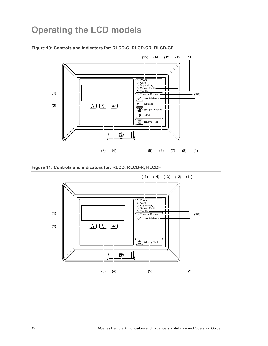### **Operating the LCD models**



#### **Figure 10: Controls and indicators for: RLCD-C, RLCD-CR, RLCD-CF**



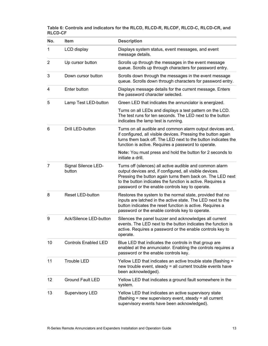| No. | <b>Item</b>                   | <b>Description</b>                                                                                                                                                                                                                                                                                 |
|-----|-------------------------------|----------------------------------------------------------------------------------------------------------------------------------------------------------------------------------------------------------------------------------------------------------------------------------------------------|
| 1   | LCD display                   | Displays system status, event messages, and event<br>message details.                                                                                                                                                                                                                              |
| 2   | Up cursor button              | Scrolls up through the messages in the event message<br>queue. Scrolls up through characters for password entry.                                                                                                                                                                                   |
| 3   | Down cursor button            | Scrolls down through the messages in the event message<br>queue. Scrolls down through characters for password entry.                                                                                                                                                                               |
| 4   | Enter button                  | Displays message details for the current message. Enters<br>the password character selected.                                                                                                                                                                                                       |
| 5   | Lamp Test LED-button          | Green LED that indicates the annunciator is energized.                                                                                                                                                                                                                                             |
|     |                               | Turns on all LEDs and displays a test pattern on the LCD.<br>The test runs for ten seconds. The LED next to the button<br>indicates the lamp test is running.                                                                                                                                      |
| 6   | Drill LED-button              | Turns on all audible and common alarm output devices and,<br>if configured, all visible devices. Pressing the button again<br>turns them back off. The LED next to the button indicates the<br>function is active. Requires a password to operate.                                                 |
|     |                               | Note: You must press and hold the button for 2 seconds to<br>initiate a drill.                                                                                                                                                                                                                     |
| 7   | Signal Silence LED-<br>button | Turns off (silences) all active audible and common alarm<br>output devices and, if configured, all visible devices.<br>Pressing the button again turns them back on. The LED next<br>to the button indicates the function is active. Requires a<br>password or the enable controls key to operate. |
| 8   | <b>Reset LED-button</b>       | Restores the system to the normal state, provided that no<br>inputs are latched in the active state. The LED next to the<br>button indicates the reset function is active. Requires a<br>password or the enable controls key to operate.                                                           |
| 9   | Ack/Silence LED-button        | Silences the panel buzzer and acknowledges all current<br>events. The LED next to the button indicates the function is<br>active. Requires a password or the enable controls key to<br>operate.                                                                                                    |
| 10  | <b>Controls Enabled LED</b>   | Blue LED that indicates the controls in that group are<br>enabled at the annunciator. Enabling the controls requires a<br>password or the enable controls key.                                                                                                                                     |
| 11  | <b>Trouble LED</b>            | Yellow LED that indicates an active trouble state (flashing =<br>new trouble event, steady = all current trouble events have<br>been acknowledged).                                                                                                                                                |
| 12  | <b>Ground Fault LED</b>       | Yellow LED that indicates a ground fault somewhere in the<br>system.                                                                                                                                                                                                                               |
| 13  | Supervisory LED               | Yellow LED that indicates an active supervisory state<br>(flashing = new supervisory event, steady = all current<br>supervisory events have been acknowledged).                                                                                                                                    |

| Table 6: Controls and indicators for the RLCD, RLCD-R, RLCDF, RLCD-C, RLCD-CR, and |  |  |
|------------------------------------------------------------------------------------|--|--|
| <b>RLCD-CF</b>                                                                     |  |  |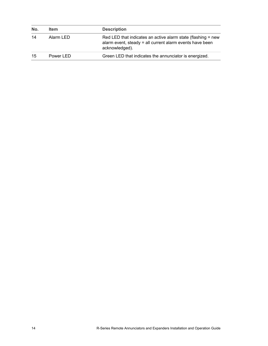| No. | <b>Item</b> | <b>Description</b>                                                                                                                         |
|-----|-------------|--------------------------------------------------------------------------------------------------------------------------------------------|
| 14  | Alarm LED   | Red LED that indicates an active alarm state (flashing = new<br>alarm event, steady = all current alarm events have been<br>acknowledged). |
| 15  | Power LED   | Green LED that indicates the annunciator is energized.                                                                                     |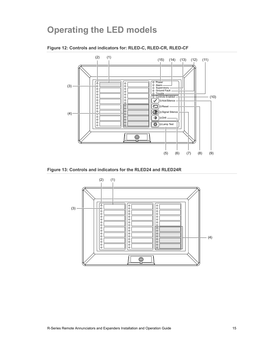### **Operating the LED models**



#### **Figure 12: Controls and indicators for: RLED-C, RLED-CR, RLED-CF**



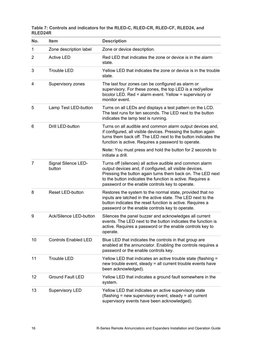**Table 7: Controls and indicators for the RLED-C, RLED-CR, RLED-CF, RLED24, and RLED24R** 

| No.          | <b>Item</b>                   | <b>Description</b>                                                                                                                                                                                                                                                                                 |
|--------------|-------------------------------|----------------------------------------------------------------------------------------------------------------------------------------------------------------------------------------------------------------------------------------------------------------------------------------------------|
| $\mathbf{1}$ | Zone description label        | Zone or device description.                                                                                                                                                                                                                                                                        |
| 2            | <b>Active LED</b>             | Red LED that indicates the zone or device is in the alarm<br>state.                                                                                                                                                                                                                                |
| 3            | <b>Trouble LED</b>            | Yellow LED that indicates the zone or device is in the trouble<br>state.                                                                                                                                                                                                                           |
| 4            | Supervisory zones             | The last four zones can be configured as alarm or<br>supervisory. For these zones, the top LED is a red/yellow<br>bicolor LED. Red = alarm event. Yellow = supervisory or<br>monitor event.                                                                                                        |
| 5            | Lamp Test LED-button          | Turns on all LEDs and displays a test pattern on the LCD.<br>The test runs for ten seconds. The LED next to the button<br>indicates the lamp test is running.                                                                                                                                      |
| 6            | Drill LED-button              | Turns on all audible and common alarm output devices and,<br>if configured, all visible devices. Pressing the button again<br>turns them back off. The LED next to the button indicates the<br>function is active. Requires a password to operate.                                                 |
|              |                               | Note: You must press and hold the button for 2 seconds to<br>initiate a drill.                                                                                                                                                                                                                     |
| 7            | Signal Silence LED-<br>button | Turns off (silences) all active audible and common alarm<br>output devices and, if configured, all visible devices.<br>Pressing the button again turns them back on. The LED next<br>to the button indicates the function is active. Requires a<br>password or the enable controls key to operate. |
| 8            | Reset LED-button              | Restores the system to the normal state, provided that no<br>inputs are latched in the active state. The LED next to the<br>button indicates the reset function is active. Requires a<br>password or the enable controls key to operate.                                                           |
| 9            | Ack/Silence LED-button        | Silences the panel buzzer and acknowledges all current<br>events. The LED next to the button indicates the function is<br>active. Requires a password or the enable controls key to<br>operate.                                                                                                    |
| 10           | <b>Controls Enabled LED</b>   | Blue LED that indicates the controls in that group are<br>enabled at the annunciator. Enabling the controls requires a<br>password or the enable controls key.                                                                                                                                     |
| 11           | <b>Trouble LED</b>            | Yellow LED that indicates an active trouble state (flashing =<br>new trouble event, steady = all current trouble events have<br>been acknowledged).                                                                                                                                                |
| 12           | <b>Ground Fault LED</b>       | Yellow LED that indicates a ground fault somewhere in the<br>system.                                                                                                                                                                                                                               |
| 13           | <b>Supervisory LED</b>        | Yellow LED that indicates an active supervisory state<br>(flashing = new supervisory event, steady = all current<br>supervisory events have been acknowledged).                                                                                                                                    |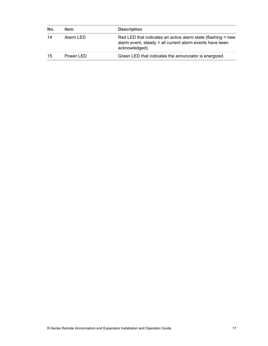| No. | <b>Item</b> | <b>Description</b>                                                                                                                         |
|-----|-------------|--------------------------------------------------------------------------------------------------------------------------------------------|
| 14  | Alarm LED   | Red LED that indicates an active alarm state (flashing = new<br>alarm event, steady = all current alarm events have been<br>acknowledged). |
| 15  | Power LED   | Green LED that indicates the annunciator is energized.                                                                                     |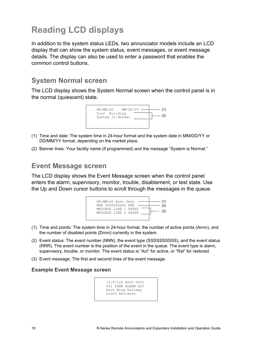### **Reading LCD displays**

In addition to the system status LEDs, two annunciator models include an LCD display that can show the system status, event messages, or event message details. The display can also be used to enter a password that enables the common control buttons.

### **System Normal screen**

The LCD display shows the System Normal screen when the control panel is in the normal (quiescent) state.



- (1) Time and date: The system time in 24-hour format and the system date in MM/DD/YY or DD/MM/YY format, depending on the market place.
- (2) Banner lines: Your facility name (if programmed) and the message "System is Normal."

### **Event Message screen**

The LCD display shows the Event Message screen when the control panel enters the alarm, supervisory, monitor, trouble, disablement, or test state. Use the Up and Down cursor buttons to scroll through the messages in the queue.



- (1) Time and points: The system time in 24-hour format, the number of active points (Annn), and the number of disabled points (Dnnn) currently in the system.
- (2) Event status: The event number (NNN), the event type (SSSSSSSSSS), and the event status (RRR). The event number is the position of the event in the queue. The event type is alarm, supervisory, trouble, or monitor. The event status is "Act" for active, or "Rst" for restored.
- (3) Event message: The first and second lines of the event message.

#### **Example Event Message screen**

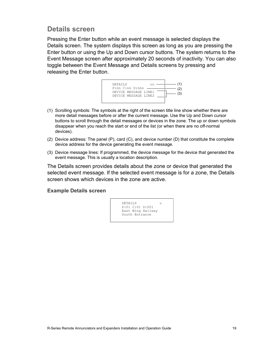### **Details screen**

Pressing the Enter button while an event message is selected displays the Details screen. The system displays this screen as long as you are pressing the Enter button or using the Up and Down cursor buttons. The system returns to the Event Message screen after approximately 20 seconds of inactivity. You can also toggle between the Event Message and Details screens by pressing and releasing the Enter button.



- (1) Scrolling symbols: The symbols at the right of the screen title line show whether there are more detail messages before or after the current message. Use the Up and Down cursor buttons to scroll through the detail messages or devices in the zone. The up or down symbols disappear when you reach the start or end of the list (or when there are no off-normal devices).
- (2) Device address: The panel (P), card (C), and device number (D) that constitute the complete device address for the device generating the event message.
- (3) Device message lines: If programmed, the device message for the device that generated the event message. This is usually a location description.

The Details screen provides details about the zone or device that generated the selected event message. If the selected event message is for a zone, the Details screen shows which devices in the zone are active.

#### **Example Details screen**

DETAILS P:01 C:01 D:001 East Wing Hallway South Entrance  $\vee$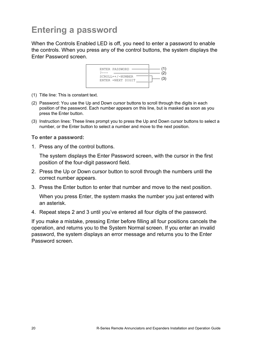### **Entering a password**

When the Controls Enabled LED is off, you need to enter a password to enable the controls. When you press any of the control buttons, the system displays the Enter Password screen.



- (1) Title line: This is constant text.
- (2) Password: You use the Up and Down cursor buttons to scroll through the digits in each position of the password. Each number appears on this line, but is masked as soon as you press the Enter button.
- (3) Instruction lines: These lines prompt you to press the Up and Down cursor buttons to select a number, or the Enter button to select a number and move to the next position.

#### **To enter a password:**

1. Press any of the control buttons.

The system displays the Enter Password screen, with the cursor in the first position of the four-digit password field.

- 2. Press the Up or Down cursor button to scroll through the numbers until the correct number appears.
- 3. Press the Enter button to enter that number and move to the next position.

When you press Enter, the system masks the number you just entered with an asterisk.

4. Repeat steps 2 and 3 until you've entered all four digits of the password.

If you make a mistake, pressing Enter before filling all four positions cancels the operation, and returns you to the System Normal screen. If you enter an invalid password, the system displays an error message and returns you to the Enter Password screen.